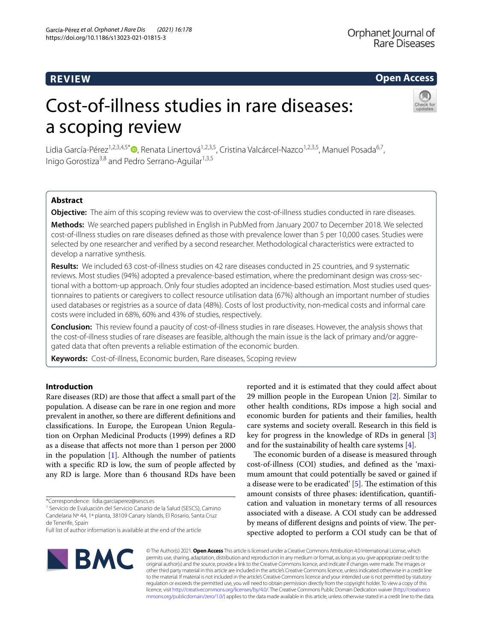# **Open Access**

# Cost-of-illness studies in rare diseases: a scoping review



Lidia García-Pérez<sup>1,2,3,4,5[\\*](http://orcid.org/0000-0002-5626-8116)</sup> <sup>(1,2,3,4,5\*</sup> ), Renata Linertová<sup>1,2,3,5</sup>, Cristina Valcárcel-Nazco<sup>1,2,3,5</sup>, Manuel Posada<sup>6,7</sup>, Inigo Gorostiza<sup>3,8</sup> and Pedro Serrano-Aguilar<sup>1,3,5</sup>

# **Abstract**

**Objective:** The aim of this scoping review was to overview the cost-of-illness studies conducted in rare diseases.

**Methods:** We searched papers published in English in PubMed from January 2007 to December 2018. We selected cost-of-illness studies on rare diseases defned as those with prevalence lower than 5 per 10,000 cases. Studies were selected by one researcher and verifed by a second researcher. Methodological characteristics were extracted to develop a narrative synthesis.

**Results:** We included 63 cost-of-illness studies on 42 rare diseases conducted in 25 countries, and 9 systematic reviews. Most studies (94%) adopted a prevalence-based estimation, where the predominant design was cross-sec‑ tional with a bottom-up approach. Only four studies adopted an incidence-based estimation. Most studies used questionnaires to patients or caregivers to collect resource utilisation data (67%) although an important number of studies used databases or registries as a source of data (48%). Costs of lost productivity, non-medical costs and informal care costs were included in 68%, 60% and 43% of studies, respectively.

**Conclusion:** This review found a paucity of cost-of-illness studies in rare diseases. However, the analysis shows that the cost-of-illness studies of rare diseases are feasible, although the main issue is the lack of primary and/or aggregated data that often prevents a reliable estimation of the economic burden.

**Keywords:** Cost-of-illness, Economic burden, Rare diseases, Scoping review

# **Introduction**

Rare diseases (RD) are those that afect a small part of the population. A disease can be rare in one region and more prevalent in another, so there are diferent defnitions and classifcations. In Europe, the European Union Regulation on Orphan Medicinal Products (1999) defnes a RD as a disease that afects not more than 1 person per 2000 in the population  $[1]$  $[1]$ . Although the number of patients with a specifc RD is low, the sum of people afected by any RD is large. More than 6 thousand RDs have been

reported and it is estimated that they could afect about 29 million people in the European Union [[2\]](#page-7-1). Similar to other health conditions, RDs impose a high social and economic burden for patients and their families, health care systems and society overall. Research in this feld is key for progress in the knowledge of RDs in general [\[3](#page-8-0)] and for the sustainability of health care systems [[4\]](#page-8-1).

The economic burden of a disease is measured through cost-of-illness (COI) studies, and defned as the 'maximum amount that could potentially be saved or gained if a disease were to be eradicated'  $[5]$  $[5]$ . The estimation of this amount consists of three phases: identifcation, quantifcation and valuation in monetary terms of all resources associated with a disease. A COI study can be addressed by means of different designs and points of view. The perspective adopted to perform a COI study can be that of



© The Author(s) 2021. **Open Access** This article is licensed under a Creative Commons Attribution 4.0 International License, which permits use, sharing, adaptation, distribution and reproduction in any medium or format, as long as you give appropriate credit to the original author(s) and the source, provide a link to the Creative Commons licence, and indicate if changes were made. The images or other third party material in this article are included in the article's Creative Commons licence, unless indicated otherwise in a credit line to the material. If material is not included in the article's Creative Commons licence and your intended use is not permitted by statutory regulation or exceeds the permitted use, you will need to obtain permission directly from the copyright holder. To view a copy of this licence, visit [http://creativecommons.org/licenses/by/4.0/.](http://creativecommons.org/licenses/by/4.0/) The Creative Commons Public Domain Dedication waiver ([http://creativeco](http://creativecommons.org/publicdomain/zero/1.0/) [mmons.org/publicdomain/zero/1.0/](http://creativecommons.org/publicdomain/zero/1.0/)) applies to the data made available in this article, unless otherwise stated in a credit line to the data.

<sup>\*</sup>Correspondence: lidia.garciaperez@sescs.es

<sup>1</sup> Servicio de Evaluación del Servicio Canario de la Salud (SESCS), Camino Candelaria Nº 44, 1ª planta, 38109 Canary Islands, El Rosario, Santa Cruz de Tenerife, Spain

Full list of author information is available at the end of the article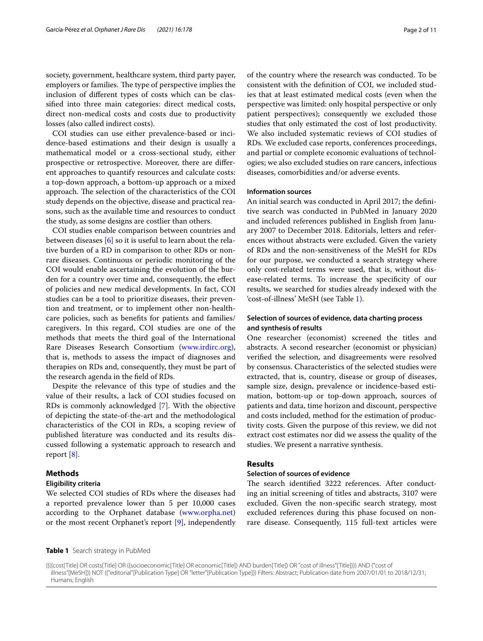society, government, healthcare system, third party payer, employers or families. The type of perspective implies the inclusion of diferent types of costs which can be classifed into three main categories: direct medical costs, direct non-medical costs and costs due to productivity losses (also called indirect costs).

COI studies can use either prevalence-based or incidence-based estimations and their design is usually a mathematical model or a cross-sectional study, either prospective or retrospective. Moreover, there are diferent approaches to quantify resources and calculate costs: a top-down approach, a bottom-up approach or a mixed approach. The selection of the characteristics of the COI study depends on the objective, disease and practical reasons, such as the available time and resources to conduct the study, as some designs are costlier than others.

COI studies enable comparison between countries and between diseases [[6\]](#page-8-3) so it is useful to learn about the relative burden of a RD in comparison to other RDs or nonrare diseases. Continuous or periodic monitoring of the COI would enable ascertaining the evolution of the burden for a country over time and, consequently, the efect of policies and new medical developments. In fact, COI studies can be a tool to prioritize diseases, their prevention and treatment, or to implement other non-healthcare policies, such as benefts for patients and families/ caregivers. In this regard, COI studies are one of the methods that meets the third goal of the International Rare Diseases Research Consortium ([www.irdirc.org](http://www.irdirc.org)), that is, methods to assess the impact of diagnoses and therapies on RDs and, consequently, they must be part of the research agenda in the feld of RDs.

Despite the relevance of this type of studies and the value of their results, a lack of COI studies focused on RDs is commonly acknowledged [\[7](#page-8-4)]. With the objective of depicting the state-of-the-art and the methodological characteristics of the COI in RDs, a scoping review of published literature was conducted and its results discussed following a systematic approach to research and report [\[8\]](#page-8-5).

### **Methods**

#### **Eligibility criteria**

We selected COI studies of RDs where the diseases had a reported prevalence lower than 5 per 10,000 cases according to the Orphanet database ([www.orpha.net](http://www.orpha.net)) or the most recent Orphanet's report [\[9](#page-8-6)], independently of the country where the research was conducted. To be consistent with the defnition of COI, we included studies that at least estimated medical costs (even when the perspective was limited: only hospital perspective or only

patient perspectives); consequently we excluded those studies that only estimated the cost of lost productivity. We also included systematic reviews of COI studies of RDs. We excluded case reports, conferences proceedings, and partial or complete economic evaluations of technologies; we also excluded studies on rare cancers, infectious diseases, comorbidities and/or adverse events.

## **Information sources**

An initial search was conducted in April 2017; the defnitive search was conducted in PubMed in January 2020 and included references published in English from January 2007 to December 2018. Editorials, letters and references without abstracts were excluded. Given the variety of RDs and the non-sensitiveness of the MeSH for RDs for our purpose, we conducted a search strategy where only cost-related terms were used, that is, without disease-related terms. To increase the specifcity of our results, we searched for studies already indexed with the 'cost-of-illness' MeSH (see Table [1\)](#page-1-0).

# **Selection of sources of evidence, data charting process and synthesis of results**

One researcher (economist) screened the titles and abstracts. A second researcher (economist or physician) verifed the selection, and disagreements were resolved by consensus. Characteristics of the selected studies were extracted, that is, country, disease or group of diseases, sample size, design, prevalence or incidence-based estimation, bottom-up or top-down approach, sources of patients and data, time horizon and discount, perspective and costs included, method for the estimation of productivity costs. Given the purpose of this review, we did not extract cost estimates nor did we assess the quality of the studies. We present a narrative synthesis.

# **Results**

## **Selection of sources of evidence**

The search identified 3222 references. After conducting an initial screening of titles and abstracts, 3107 were excluded. Given the non-specifc search strategy, most excluded references during this phase focused on nonrare disease. Consequently, 115 full-text articles were

<span id="page-1-0"></span>**Table 1** Search strategy in PubMed

((((cost[Title] OR costs[Title] OR ((socioeconomic[Title] OR economic[Title]) AND burden[Title]) OR "cost of illness"[Title]))) AND ("cost of illness"[MeSH])) NOT (("editorial"[Publication Type] OR "letter"[Publication Type])) Filters: Abstract; Publication date from 2007/01/01 to 2018/12/31; Humans; English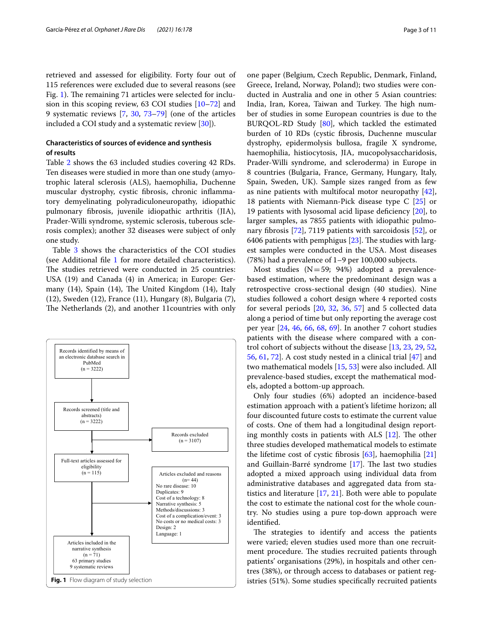retrieved and assessed for eligibility. Forty four out of 115 references were excluded due to several reasons (see Fig. [1](#page-2-0)). The remaining 71 articles were selected for inclusion in this scoping review, 63 COI studies [\[10](#page-8-7)[–72\]](#page-9-0) and 9 systematic reviews [\[7](#page-8-4), [30](#page-8-8), [73](#page-9-1)[–79](#page-9-2)] (one of the articles included a COI study and a systematic review [[30\]](#page-8-8)).

# **Characteristics of sources of evidence and synthesis of results**

Table [2](#page-3-0) shows the 63 included studies covering 42 RDs. Ten diseases were studied in more than one study (amyotrophic lateral sclerosis (ALS), haemophilia, Duchenne muscular dystrophy, cystic fbrosis, chronic infammatory demyelinating polyradiculoneuropathy, idiopathic pulmonary fbrosis, juvenile idiopathic arthritis (JIA), Prader-Willi syndrome, systemic sclerosis, tuberous sclerosis complex); another 32 diseases were subject of only one study.

Table [3](#page-4-0) shows the characteristics of the COI studies (see Additional file [1](#page-7-2) for more detailed characteristics). The studies retrieved were conducted in 25 countries: USA (19) and Canada (4) in America; in Europe: Germany  $(14)$ , Spain  $(14)$ , The United Kingdom  $(14)$ , Italy (12), Sweden (12), France (11), Hungary (8), Bulgaria (7), The Netherlands (2), and another 11 countries with only



one paper (Belgium, Czech Republic, Denmark, Finland, Greece, Ireland, Norway, Poland); two studies were conducted in Australia and one in other 5 Asian countries: India, Iran, Korea, Taiwan and Turkey. The high number of studies in some European countries is due to the BURQOL-RD Study [[80](#page-9-3)], which tackled the estimated burden of 10 RDs (cystic fbrosis, Duchenne muscular dystrophy, epidermolysis bullosa, fragile X syndrome, haemophilia, histiocytosis, JIA, mucopolysaccharidosis, Prader-Willi syndrome, and scleroderma) in Europe in 8 countries (Bulgaria, France, Germany, Hungary, Italy, Spain, Sweden, UK). Sample sizes ranged from as few as nine patients with multifocal motor neuropathy [\[42](#page-8-9)], 18 patients with Niemann-Pick disease type C [\[25](#page-8-10)] or 19 patients with lysosomal acid lipase defciency [[20\]](#page-8-11), to larger samples, as 7855 patients with idiopathic pulmonary fbrosis [\[72](#page-9-0)], 7119 patients with sarcoidosis [\[52](#page-9-4)], or 6406 patients with pemphigus  $[23]$  $[23]$ . The studies with largest samples were conducted in the USA. Most diseases (78%) had a prevalence of 1–9 per 100,000 subjects.

Most studies (N=59; 94%) adopted a prevalencebased estimation, where the predominant design was a retrospective cross-sectional design (40 studies). Nine studies followed a cohort design where 4 reported costs for several periods [[20](#page-8-11), [32](#page-8-13), [36,](#page-8-14) [57\]](#page-9-5) and 5 collected data along a period of time but only reporting the average cost per year [\[24,](#page-8-15) [46](#page-9-6), [66](#page-9-7), [68,](#page-9-8) [69\]](#page-9-9). In another 7 cohort studies patients with the disease where compared with a control cohort of subjects without the disease [[13,](#page-8-16) [23](#page-8-12), [29,](#page-8-17) [52](#page-9-4), [56,](#page-9-10) [61](#page-9-11), [72](#page-9-0)]. A cost study nested in a clinical trial [[47\]](#page-9-12) and two mathematical models [[15,](#page-8-18) [53](#page-9-13)] were also included. All prevalence-based studies, except the mathematical models, adopted a bottom-up approach.

Only four studies (6%) adopted an incidence-based estimation approach with a patient's lifetime horizon; all four discounted future costs to estimate the current value of costs. One of them had a longitudinal design reporting monthly costs in patients with ALS  $[12]$  $[12]$ . The other three studies developed mathematical models to estimate the lifetime cost of cystic fbrosis [[63\]](#page-9-14), haemophilia [[21](#page-8-20)] and Guillain-Barré syndrome [\[17](#page-8-21)]. The last two studies adopted a mixed approach using individual data from administrative databases and aggregated data from statistics and literature [[17](#page-8-21), [21](#page-8-20)]. Both were able to populate the cost to estimate the national cost for the whole country. No studies using a pure top-down approach were identifed.

<span id="page-2-0"></span>The strategies to identify and access the patients were varied; eleven studies used more than one recruitment procedure. The studies recruited patients through patients' organisations (29%), in hospitals and other centres (38%), or through access to databases or patient registries (51%). Some studies specifcally recruited patients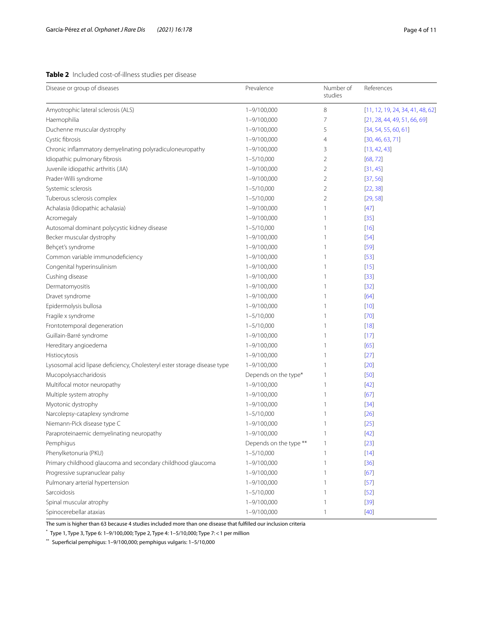# <span id="page-3-0"></span>**Table 2** Included cost-of-illness studies per disease

| Disease or group of diseases                                             | Prevalence             | Number of<br>studies | References                       |
|--------------------------------------------------------------------------|------------------------|----------------------|----------------------------------|
| Amyotrophic lateral sclerosis (ALS)                                      | 1-9/100,000            | 8                    | [11, 12, 19, 24, 34, 41, 48, 62] |
| Haemophilia                                                              | 1-9/100,000            | 7                    | [21, 28, 44, 49, 51, 66, 69]     |
| Duchenne muscular dystrophy                                              | 1-9/100,000            | 5                    | [34, 54, 55, 60, 61]             |
| Cystic fibrosis                                                          | 1-9/100,000            | 4                    | [30, 46, 63, 71]                 |
| Chronic inflammatory demyelinating polyradiculoneuropathy                | 1-9/100,000            | 3                    | [13, 42, 43]                     |
| Idiopathic pulmonary fibrosis                                            | $1 - 5/10,000$         | 2                    | [68, 72]                         |
| Juvenile idiopathic arthritis (JIA)                                      | 1-9/100,000            | 2                    | [31, 45]                         |
| Prader-Willi syndrome                                                    | 1-9/100,000            | 2                    | [37, 56]                         |
| Systemic sclerosis                                                       | $1 - 5/10,000$         | 2                    | [22, 38]                         |
| Tuberous sclerosis complex                                               | $1 - 5/10,000$         | 2                    | [29, 58]                         |
| Achalasia (Idiopathic achalasia)                                         | 1-9/100,000            | 1                    | $[47]$                           |
| Acromegaly                                                               | 1-9/100,000            | 1                    | $[35]$                           |
| Autosomal dominant polycystic kidney disease                             | $1 - 5/10,000$         | 1                    | $[16]$                           |
| Becker muscular dystrophy                                                | 1-9/100,000            | 1                    | $[54]$                           |
| Behçet's syndrome                                                        | 1-9/100,000            | 1                    | $[59]$                           |
| Common variable immunodeficiency                                         | 1-9/100,000            | 1                    | $[53]$                           |
| Congenital hyperinsulinism                                               | 1-9/100,000            | 1                    | $[15]$                           |
| Cushing disease                                                          | 1-9/100,000            | 1                    | $[33]$                           |
| Dermatomyositis                                                          | 1-9/100,000            | 1                    | $[32]$                           |
| Dravet syndrome                                                          | 1-9/100,000            | 1                    | [64]                             |
| Epidermolysis bullosa                                                    | 1-9/100,000            | 1                    | $[10]$                           |
| Fragile x syndrome                                                       | $1 - 5/10,000$         | 1                    | $[70]$                           |
| Frontotemporal degeneration                                              | $1 - 5/10,000$         | 1                    | $[18]$                           |
| Guillain-Barré syndrome                                                  | 1-9/100,000            | 1                    | $[17]$                           |
| Hereditary angioedema                                                    | 1-9/100,000            | 1                    | [65]                             |
| Histiocytosis                                                            | 1-9/100,000            | 1                    | $[27]$                           |
| Lysosomal acid lipase deficiency, Cholesteryl ester storage disease type | 1-9/100,000            | 1                    | $[20]$                           |
| Mucopolysaccharidosis                                                    | Depends on the type*   | 1                    | $[50]$                           |
| Multifocal motor neuropathy                                              | 1-9/100,000            | 1                    | $[42]$                           |
| Multiple system atrophy                                                  | 1-9/100,000            | 1                    | [67]                             |
| Myotonic dystrophy                                                       | 1-9/100,000            | 1                    | $[34]$                           |
| Narcolepsy-cataplexy syndrome                                            | $1 - 5/10,000$         | 1                    | $[26]$                           |
| Niemann-Pick disease type C                                              | 1-9/100,000            | 1                    | $[25]$                           |
| Paraproteinaemic demyelinating neuropathy                                | 1-9/100,000            | 1                    | $[42]$                           |
| Pemphigus                                                                | Depends on the type ** | 1                    | $[23]$                           |
| Phenylketonuria (PKU)                                                    | $1 - 5/10,000$         | 1                    | $[14]$                           |
| Primary childhood glaucoma and secondary childhood glaucoma              | $1 - 9/100,000$        | 1                    | $[36]$                           |
| Progressive supranuclear palsy                                           | 1-9/100,000            | 1                    | [67]                             |
| Pulmonary arterial hypertension                                          | 1-9/100,000            | 1                    | $[57]$                           |
| Sarcoidosis                                                              | $1 - 5/10,000$         | 1                    | $[52]$                           |
| Spinal muscular atrophy                                                  | 1-9/100,000            | 1                    | $[39]$                           |
| Spinocerebellar ataxias                                                  | $1 - 9/100,000$        | 1                    | $[40]$                           |

The sum is higher than 63 because 4 studies included more than one disease that fulflled our inclusion criteria

\* Type 1, Type 3, Type 6: 1–9/100,000; Type 2, Type 4: 1–5/10,000; Type 7:<1 per million

\*\* Superficial pemphigus: 1–9/100,000; pemphigus vulgaris: 1–5/10,000<br>\*\* Superficial pemphigus: 1–9/100,000; pemphigus vulgaris: 1–5/10,000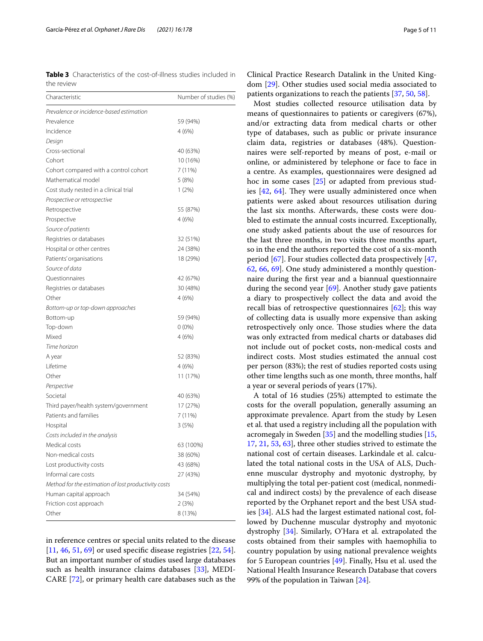<span id="page-4-0"></span>**Table 3** Characteristics of the cost-of-illness studies included in the review

| Characteristic                                       | Number of studies (%) |  |
|------------------------------------------------------|-----------------------|--|
| Prevalence or incidence-based estimation             |                       |  |
| Prevalence                                           | 59 (94%)              |  |
| Incidence                                            | 4(6%)                 |  |
| Design                                               |                       |  |
| Cross-sectional                                      | 40 (63%)              |  |
| Cohort                                               | 10 (16%)              |  |
| Cohort compared with a control cohort                | 7 (11%)               |  |
| Mathematical model                                   | 5 (8%)                |  |
| Cost study nested in a clinical trial                | 1(2%)                 |  |
| Prospective or retrospective                         |                       |  |
| Retrospective                                        | 55 (87%)              |  |
| Prospective                                          | 4(6%)                 |  |
| Source of patients                                   |                       |  |
| Registries or databases                              | 32 (51%)              |  |
| Hospital or other centres                            | 24 (38%)              |  |
| Patients' organisations                              | 18 (29%)              |  |
| Source of data                                       |                       |  |
| Questionnaires                                       | 42 (67%)              |  |
| Registries or databases                              | 30 (48%)              |  |
| Other                                                | 4(6%)                 |  |
| Bottom-up or top-down approaches                     |                       |  |
| Bottom-up                                            | 59 (94%)              |  |
| Top-down                                             | $0(0\%)$              |  |
| Mixed                                                | 4(6%)                 |  |
| Time horizon                                         |                       |  |
| A year                                               | 52 (83%)              |  |
| Lifetime                                             | 4(6%)                 |  |
| Other                                                | 11 (17%)              |  |
| Perspective                                          |                       |  |
| Societal                                             | 40 (63%)              |  |
| Third payer/health system/government                 | 17 (27%)              |  |
| Patients and families                                | 7 (11%)               |  |
| Hospital                                             | 3(5%)                 |  |
| Costs included in the analysis                       |                       |  |
| Medical costs                                        | 63 (100%)             |  |
| Non-medical costs                                    | 38 (60%)              |  |
| Lost productivity costs                              | 43 (68%)              |  |
| Informal care costs                                  | 27 (43%)              |  |
| Method for the estimation of lost productivity costs |                       |  |
| Human capital approach                               | 34 (54%)              |  |
| Friction cost approach                               | 2(3%)                 |  |
| Other                                                | 8 (13%)               |  |

in reference centres or special units related to the disease [[11,](#page-8-22) [46](#page-9-6), [51,](#page-9-18) [69\]](#page-9-9) or used specific disease registries [[22,](#page-8-31) [54](#page-9-19)]. But an important number of studies used large databases such as health insurance claims databases [\[33](#page-8-35)], MEDI-CARE [\[72](#page-9-0)], or primary health care databases such as the

Clinical Practice Research Datalink in the United Kingdom [[29\]](#page-8-17). Other studies used social media associated to patients organizations to reach the patients [\[37,](#page-8-30) [50](#page-9-29), [58\]](#page-9-24).

Most studies collected resource utilisation data by means of questionnaires to patients or caregivers (67%), and/or extracting data from medical charts or other type of databases, such as public or private insurance claim data, registries or databases (48%). Questionnaires were self-reported by means of post, e-mail or online, or administered by telephone or face to face in a centre. As examples, questionnaires were designed ad hoc in some cases [\[25\]](#page-8-10) or adapted from previous studies  $[42, 64]$  $[42, 64]$  $[42, 64]$ . They were usually administered once when patients were asked about resources utilisation during the last six months. Afterwards, these costs were doubled to estimate the annual costs incurred. Exceptionally, one study asked patients about the use of resources for the last three months, in two visits three months apart, so in the end the authors reported the cost of a six-month period [\[67](#page-9-30)]. Four studies collected data prospectively [[47](#page-9-12), [62,](#page-9-16) [66,](#page-9-7) [69\]](#page-9-9). One study administered a monthly questionnaire during the frst year and a biannual questionnaire during the second year [\[69](#page-9-9)]. Another study gave patients a diary to prospectively collect the data and avoid the recall bias of retrospective questionnaires  $[62]$  $[62]$ ; this way of collecting data is usually more expensive than asking retrospectively only once. Those studies where the data was only extracted from medical charts or databases did not include out of pocket costs, non-medical costs and indirect costs. Most studies estimated the annual cost per person (83%); the rest of studies reported costs using other time lengths such as one month, three months, half a year or several periods of years (17%).

A total of 16 studies (25%) attempted to estimate the costs for the overall population, generally assuming an approximate prevalence. Apart from the study by Lesen et al. that used a registry including all the population with acromegaly in Sweden [\[35](#page-8-33)] and the modelling studies [[15](#page-8-18), [17,](#page-8-21) [21](#page-8-20), [53](#page-9-13), [63\]](#page-9-14), three other studies strived to estimate the national cost of certain diseases. Larkindale et al. calculated the total national costs in the USA of ALS, Duchenne muscular dystrophy and myotonic dystrophy, by multiplying the total per-patient cost (medical, nonmedical and indirect costs) by the prevalence of each disease reported by the Orphanet report and the best USA studies [[34](#page-8-24)]. ALS had the largest estimated national cost, followed by Duchenne muscular dystrophy and myotonic dystrophy [\[34](#page-8-24)]. Similarly, O'Hara et al. extrapolated the costs obtained from their samples with haemophilia to country population by using national prevalence weights for 5 European countries [[49\]](#page-9-17). Finally, Hsu et al. used the National Health Insurance Research Database that covers 99% of the population in Taiwan  $[24]$  $[24]$ .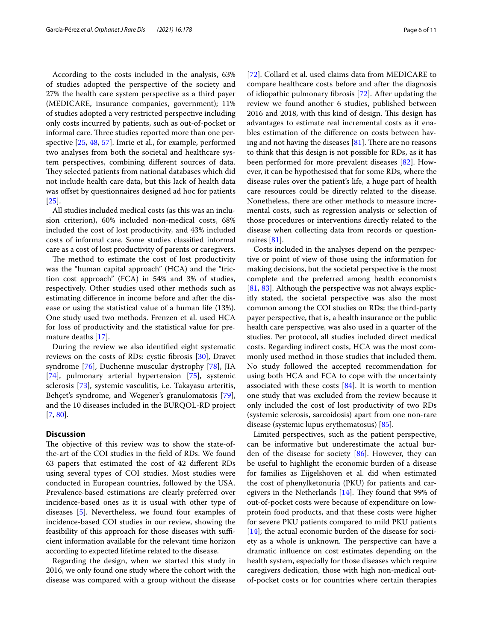According to the costs included in the analysis, 63% of studies adopted the perspective of the society and 27% the health care system perspective as a third payer (MEDICARE, insurance companies, government); 11% of studies adopted a very restricted perspective including only costs incurred by patients, such as out-of-pocket or informal care. Three studies reported more than one perspective [[25,](#page-8-10) [48](#page-9-15), [57](#page-9-5)]. Imrie et al., for example, performed two analyses from both the societal and healthcare system perspectives, combining diferent sources of data. They selected patients from national databases which did not include health care data, but this lack of health data was offset by questionnaires designed ad hoc for patients [[25\]](#page-8-10).

All studies included medical costs (as this was an inclusion criterion), 60% included non-medical costs, 68% included the cost of lost productivity, and 43% included costs of informal care. Some studies classifed informal care as a cost of lost productivity of parents or caregivers.

The method to estimate the cost of lost productivity was the "human capital approach" (HCA) and the "friction cost approach" (FCA) in 54% and 3% of studies, respectively. Other studies used other methods such as estimating diference in income before and after the disease or using the statistical value of a human life (13%). One study used two methods. Frenzen et al. used HCA for loss of productivity and the statistical value for premature deaths [\[17](#page-8-21)].

During the review we also identifed eight systematic reviews on the costs of RDs: cystic fbrosis [\[30\]](#page-8-8), Dravet syndrome [\[76](#page-9-31)], Duchenne muscular dystrophy [\[78\]](#page-9-32), JIA [[74\]](#page-9-33), pulmonary arterial hypertension [\[75](#page-9-34)], systemic sclerosis [[73\]](#page-9-1), systemic vasculitis, i.e. Takayasu arteritis, Behçet's syndrome, and Wegener's granulomatosis [\[79](#page-9-2)], and the 10 diseases included in the BURQOL-RD project [[7,](#page-8-4) [80](#page-9-3)].

## **Discussion**

The objective of this review was to show the state-ofthe-art of the COI studies in the feld of RDs. We found 63 papers that estimated the cost of 42 diferent RDs using several types of COI studies. Most studies were conducted in European countries, followed by the USA. Prevalence-based estimations are clearly preferred over incidence-based ones as it is usual with other type of diseases [[5\]](#page-8-2). Nevertheless, we found four examples of incidence-based COI studies in our review, showing the feasibility of this approach for those diseases with sufficient information available for the relevant time horizon according to expected lifetime related to the disease.

Regarding the design, when we started this study in 2016, we only found one study where the cohort with the disease was compared with a group without the disease [[72\]](#page-9-0). Collard et al. used claims data from MEDICARE to compare healthcare costs before and after the diagnosis of idiopathic pulmonary fbrosis [[72](#page-9-0)]. After updating the review we found another 6 studies, published between 2016 and 2018, with this kind of design. This design has advantages to estimate real incremental costs as it enables estimation of the diference on costs between having and not having the diseases  $[81]$  $[81]$  $[81]$ . There are no reasons to think that this design is not possible for RDs, as it has been performed for more prevalent diseases [[82](#page-9-36)]. However, it can be hypothesised that for some RDs, where the disease rules over the patient's life, a huge part of health care resources could be directly related to the disease. Nonetheless, there are other methods to measure incremental costs, such as regression analysis or selection of those procedures or interventions directly related to the disease when collecting data from records or question-naires [[81\]](#page-9-35).

Costs included in the analyses depend on the perspective or point of view of those using the information for making decisions, but the societal perspective is the most complete and the preferred among health economists [[81,](#page-9-35) [83\]](#page-9-37). Although the perspective was not always explicitly stated, the societal perspective was also the most common among the COI studies on RDs; the third-party payer perspective, that is, a health insurance or the public health care perspective, was also used in a quarter of the studies. Per protocol, all studies included direct medical costs. Regarding indirect costs, HCA was the most commonly used method in those studies that included them. No study followed the accepted recommendation for using both HCA and FCA to cope with the uncertainty associated with these costs [[84\]](#page-9-38). It is worth to mention one study that was excluded from the review because it only included the cost of lost productivity of two RDs (systemic sclerosis, sarcoidosis) apart from one non-rare disease (systemic lupus erythematosus) [\[85](#page-9-39)].

Limited perspectives, such as the patient perspective, can be informative but underestimate the actual burden of the disease for society [[86\]](#page-9-40). However, they can be useful to highlight the economic burden of a disease for families as Eijgelshoven et al. did when estimated the cost of phenylketonuria (PKU) for patients and caregivers in the Netherlands  $[14]$  $[14]$ . They found that 99% of out-of-pocket costs were because of expenditure on lowprotein food products, and that these costs were higher for severe PKU patients compared to mild PKU patients [[14\]](#page-8-39); the actual economic burden of the disease for society as a whole is unknown. The perspective can have a dramatic infuence on cost estimates depending on the health system, especially for those diseases which require caregivers dedication, those with high non-medical outof-pocket costs or for countries where certain therapies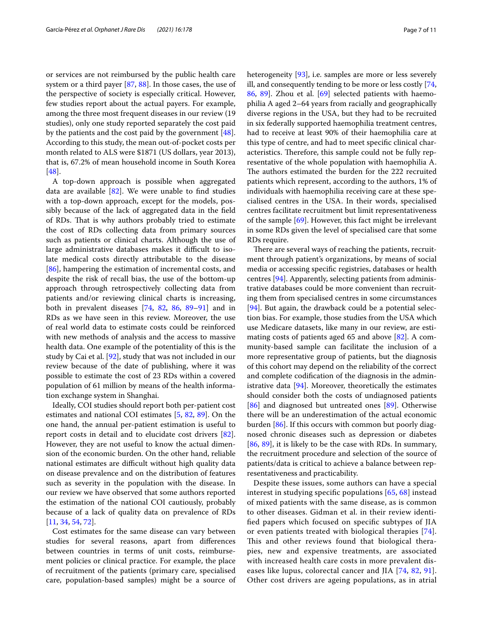or services are not reimbursed by the public health care system or a third payer [\[87](#page-10-0), [88\]](#page-10-1). In those cases, the use of the perspective of society is especially critical. However, few studies report about the actual payers. For example, among the three most frequent diseases in our review (19 studies), only one study reported separately the cost paid by the patients and the cost paid by the government [\[48](#page-9-15)]. According to this study, the mean out-of-pocket costs per month related to ALS were \$1871 (US dollars, year 2013), that is, 67.2% of mean household income in South Korea [[48\]](#page-9-15).

A top-down approach is possible when aggregated data are available  $[82]$  $[82]$ . We were unable to find studies with a top-down approach, except for the models, possibly because of the lack of aggregated data in the feld of RDs. That is why authors probably tried to estimate the cost of RDs collecting data from primary sources such as patients or clinical charts. Although the use of large administrative databases makes it difficult to isolate medical costs directly attributable to the disease [[86\]](#page-9-40), hampering the estimation of incremental costs, and despite the risk of recall bias, the use of the bottom-up approach through retrospectively collecting data from patients and/or reviewing clinical charts is increasing, both in prevalent diseases [[74,](#page-9-33) [82,](#page-9-36) [86,](#page-9-40) [89–](#page-10-2)[91](#page-10-3)] and in RDs as we have seen in this review. Moreover, the use of real world data to estimate costs could be reinforced with new methods of analysis and the access to massive health data. One example of the potentiality of this is the study by Cai et al. [[92\]](#page-10-4), study that was not included in our review because of the date of publishing, where it was possible to estimate the cost of 23 RDs within a covered population of 61 million by means of the health information exchange system in Shanghai.

Ideally, COI studies should report both per-patient cost estimates and national COI estimates [[5,](#page-8-2) [82,](#page-9-36) [89\]](#page-10-2). On the one hand, the annual per-patient estimation is useful to report costs in detail and to elucidate cost drivers [\[82](#page-9-36)]. However, they are not useful to know the actual dimension of the economic burden. On the other hand, reliable national estimates are difficult without high quality data on disease prevalence and on the distribution of features such as severity in the population with the disease. In our review we have observed that some authors reported the estimation of the national COI cautiously, probably because of a lack of quality data on prevalence of RDs [[11,](#page-8-22) [34](#page-8-24), [54](#page-9-19), [72\]](#page-9-0).

Cost estimates for the same disease can vary between studies for several reasons, apart from diferences between countries in terms of unit costs, reimbursement policies or clinical practice. For example, the place of recruitment of the patients (primary care, specialised care, population-based samples) might be a source of heterogeneity [[93\]](#page-10-5), i.e. samples are more or less severely ill, and consequently tending to be more or less costly [[74](#page-9-33), [86,](#page-9-40) [89\]](#page-10-2). Zhou et al. [[69](#page-9-9)] selected patients with haemophilia A aged 2–64 years from racially and geographically diverse regions in the USA, but they had to be recruited in six federally supported haemophilia treatment centres, had to receive at least 90% of their haemophilia care at this type of centre, and had to meet specifc clinical characteristics. Therefore, this sample could not be fully representative of the whole population with haemophilia A. The authors estimated the burden for the 222 recruited patients which represent, according to the authors, 1% of individuals with haemophilia receiving care at these specialised centres in the USA. In their words, specialised centres facilitate recruitment but limit representativeness of the sample [[69](#page-9-9)]. However, this fact might be irrelevant in some RDs given the level of specialised care that some RDs require.

There are several ways of reaching the patients, recruitment through patient's organizations, by means of social media or accessing specifc registries, databases or health centres [[94\]](#page-10-6). Apparently, selecting patients from administrative databases could be more convenient than recruiting them from specialised centres in some circumstances [[94\]](#page-10-6). But again, the drawback could be a potential selection bias. For example, those studies from the USA which use Medicare datasets, like many in our review, are estimating costs of patients aged 65 and above [\[82](#page-9-36)]. A community-based sample can facilitate the inclusion of a more representative group of patients, but the diagnosis of this cohort may depend on the reliability of the correct and complete codifcation of the diagnosis in the administrative data [\[94\]](#page-10-6). Moreover, theoretically the estimates should consider both the costs of undiagnosed patients [[86\]](#page-9-40) and diagnosed but untreated ones [\[89](#page-10-2)]. Otherwise there will be an underestimation of the actual economic burden [[86\]](#page-9-40). If this occurs with common but poorly diagnosed chronic diseases such as depression or diabetes [[86,](#page-9-40) [89\]](#page-10-2), it is likely to be the case with RDs. In summary, the recruitment procedure and selection of the source of patients/data is critical to achieve a balance between representativeness and practicability.

Despite these issues, some authors can have a special interest in studying specifc populations [[65,](#page-9-28) [68\]](#page-9-8) instead of mixed patients with the same disease, as is common to other diseases. Gidman et al. in their review identifed papers which focused on specifc subtypes of JIA or even patients treated with biological therapies [[74](#page-9-33)]. This and other reviews found that biological therapies, new and expensive treatments, are associated with increased health care costs in more prevalent diseases like lupus, colorectal cancer and JIA [[74,](#page-9-33) [82](#page-9-36), [91](#page-10-3)]. Other cost drivers are ageing populations, as in atrial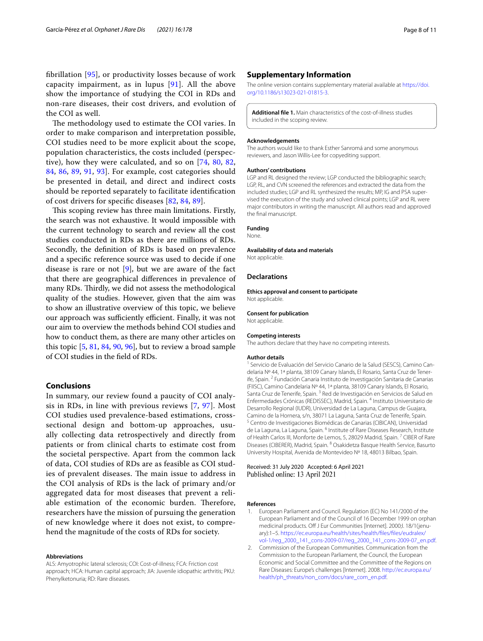The methodology used to estimate the COI varies. In order to make comparison and interpretation possible, COI studies need to be more explicit about the scope, population characteristics, the costs included (perspective), how they were calculated, and so on [\[74](#page-9-33), [80](#page-9-3), [82](#page-9-36), [84,](#page-9-38) [86](#page-9-40), [89](#page-10-2), [91,](#page-10-3) [93](#page-10-5)]. For example, cost categories should be presented in detail, and direct and indirect costs should be reported separately to facilitate identifcation of cost drivers for specifc diseases [[82,](#page-9-36) [84,](#page-9-38) [89\]](#page-10-2).

This scoping review has three main limitations. Firstly, the search was not exhaustive. It would impossible with the current technology to search and review all the cost studies conducted in RDs as there are millions of RDs. Secondly, the defnition of RDs is based on prevalence and a specifc reference source was used to decide if one disease is rare or not [\[9](#page-8-6)], but we are aware of the fact that there are geographical diferences in prevalence of many RDs. Thirdly, we did not assess the methodological quality of the studies. However, given that the aim was to show an illustrative overview of this topic, we believe our approach was sufficiently efficient. Finally, it was not our aim to overview the methods behind COI studies and how to conduct them, as there are many other articles on this topic [[5,](#page-8-2) [81](#page-9-35), [84,](#page-9-38) [90](#page-10-8), [96\]](#page-10-9), but to review a broad sample of COI studies in the feld of RDs.

## **Conclusions**

In summary, our review found a paucity of COI analysis in RDs, in line with previous reviews [\[7,](#page-8-4) [97\]](#page-10-10). Most COI studies used prevalence-based estimations, crosssectional design and bottom-up approaches, usually collecting data retrospectively and directly from patients or from clinical charts to estimate cost from the societal perspective. Apart from the common lack of data, COI studies of RDs are as feasible as COI studies of prevalent diseases. The main issue to address in the COI analysis of RDs is the lack of primary and/or aggregated data for most diseases that prevent a reliable estimation of the economic burden. Therefore, researchers have the mission of pursuing the generation of new knowledge where it does not exist, to comprehend the magnitude of the costs of RDs for society.

#### **Abbreviations**

ALS: Amyotrophic lateral sclerosis; COI: Cost-of-illness; FCA: Friction cost approach; HCA: Human capital approach; JIA: Juvenile idiopathic arthritis; PKU: Phenylketonuria; RD: Rare diseases.

### **Supplementary Information**

The online version contains supplementary material available at [https://doi.](https://doi.org/10.1186/s13023-021-01815-3) [org/10.1186/s13023-021-01815-3](https://doi.org/10.1186/s13023-021-01815-3).

<span id="page-7-2"></span>**Additional fle 1.** Main characteristics of the cost-of-illness studies included in the scoping review.

#### **Acknowledgements**

The authors would like to thank Esther Sanromá and some anonymous reviewers, and Jason Willis-Lee for copyediting support.

#### **Authors' contributions**

LGP and RL designed the review; LGP conducted the bibliographic search; LGP, RL, and CVN screened the references and extracted the data from the included studies; LGP and RL synthesized the results; MP, IG and PSA supervised the execution of the study and solved clinical points; LGP and RL were major contributors in writing the manuscript. All authors read and approved the fnal manuscript.

## **Funding**

None.

#### **Availability of data and materials**

Not applicable.

## **Declarations**

**Ethics approval and consent to participate** Not applicable.

#### **Consent for publication**

Not applicable.

#### **Competing interests**

The authors declare that they have no competing interests.

#### **Author details**

<sup>1</sup> Servicio de Evaluación del Servicio Canario de la Salud (SESCS), Camino Candelaria Nº 44, 1ª planta, 38109 Canary Islands, El Rosario, Santa Cruz de Tener‑ ife, Spain. <sup>2</sup> Fundación Canaria Instituto de Investigación Sanitaria de Canarias (FIISC), Camino Candelaria Nº 44, 1ª planta, 38109 Canary Islands, El Rosario, Santa Cruz de Tenerife, Spain. <sup>3</sup> Red de Investigación en Servicios de Salud en Enfermedades Crónicas (REDISSEC), Madrid, Spain. 4 Instituto Universitario de Desarrollo Regional (IUDR), Universidad de La Laguna, Campus de Guajara, Camino de la Hornera, s/n, 38071 La Laguna, Santa Cruz de Tenerife, Spain.<br><sup>5</sup> Centro de Investigaciones Biomédicas de Canarias (CIBICAN), Universidad de La Laguna, La Laguna, Spain. <sup>6</sup> Institute of Rare Diseases Research, Institute of Health Carlos III, Monforte de Lemos, 5, 28029 Madrid, Spain.<sup>7</sup> CIBER of Rare Diseases (CIBERER), Madrid, Spain. 8 Osakidetza Basque Health Service, Basurto University Hospital, Avenida de Montevideo Nº 18, 48013 Bilbao, Spain.

#### Received: 31 July 2020 Accepted: 6 April 2021 Published online: 13 April 2021

#### **References**

- <span id="page-7-0"></span>1. European Parliament and Council. Regulation (EC) No 141/2000 of the European Parliament and of the Council of 16 December 1999 on orphan medicinal products. Off J Eur Communities [Internet]. 2000; I. 18/1(jenuary):1–5. [https://ec.europa.eu/health/sites/health/fles/fles/eudralex/](https://ec.europa.eu/health/sites/health/files/files/eudralex/vol-1/reg_2000_141_cons-2009-07/reg_2000_141_cons-2009-07_en.pdf) [vol-1/reg\\_2000\\_141\\_cons-2009-07/reg\\_2000\\_141\\_cons-2009-07\\_en.pdf](https://ec.europa.eu/health/sites/health/files/files/eudralex/vol-1/reg_2000_141_cons-2009-07/reg_2000_141_cons-2009-07_en.pdf).
- <span id="page-7-1"></span>2. Commission of the European Communities. Communication from the Commission to the European Parliament, the Council, the European Economic and Social Committee and the Committee of the Regions on Rare Diseases: Europe's challenges [Internet]. 2008. [http://ec.europa.eu/](http://ec.europa.eu/health/ph_threats/non_com/docs/rare_com_en.pdf) [health/ph\\_threats/non\\_com/docs/rare\\_com\\_en.pdf.](http://ec.europa.eu/health/ph_threats/non_com/docs/rare_com_en.pdf)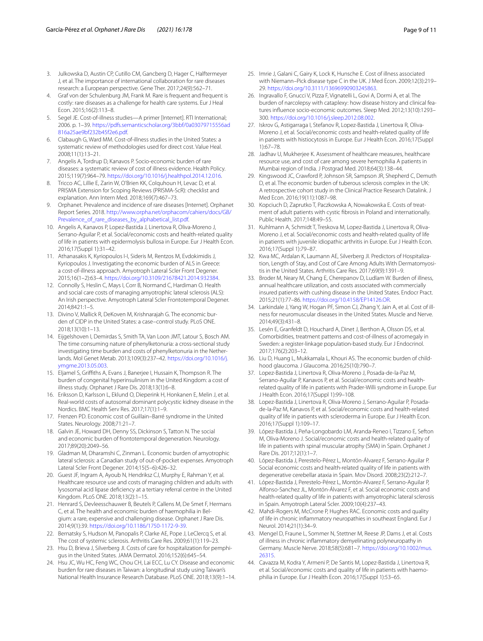- <span id="page-8-0"></span>3. Julkowska D, Austin CP, Cutillo CM, Gancberg D, Hager C, Halftermeyer J, et al. The importance of international collaboration for rare diseases research: a European perspective. Gene Ther. 2017;24(9):562–71.
- <span id="page-8-1"></span>4. Graf von der Schulenburg JM, Frank M. Rare is frequent and frequent is costly: rare diseases as a challenge for health care systems. Eur J Heal Econ. 2015;16(2):113–8.
- <span id="page-8-2"></span>5. Segel JE. Cost-of-illness studies—A primer [Internet]. RTI International; 2006. p. 1–39. [https://pdfs.semanticscholar.org/3bbf/0a03079715556ad](https://pdfs.semanticscholar.org/3bbf/0a03079715556ad816a25ae9bf232b45f2e6.pdf) [816a25ae9bf232b45f2e6.pdf.](https://pdfs.semanticscholar.org/3bbf/0a03079715556ad816a25ae9bf232b45f2e6.pdf)
- <span id="page-8-3"></span>6. Clabaugh G, Ward MM. Cost-of-illness studies in the United States: a systematic review of methodologies used for direct cost. Value Heal. 2008;11(1):13–21.
- <span id="page-8-4"></span>7. Angelis A, Tordrup D, Kanavos P. Socio-economic burden of rare diseases: a systematic review of cost of illness evidence. Health Policy. 2015;119(7):964–79. [https://doi.org/10.1016/j.healthpol.2014.12.016.](https://doi.org/10.1016/j.healthpol.2014.12.016)
- <span id="page-8-5"></span>Tricco AC, Lillie E, Zarin W, O'Brien KK, Colquhoun H, Levac D, et al. PRISMA Extension for Scoping Reviews (PRISMA-ScR): checklist and explanation. Ann Intern Med. 2018;169(7):467–73.
- <span id="page-8-6"></span>9. Orphanet. Prevalence and incidence of rare diseases [Internet]. Orphanet Report Series. 2018. [http://www.orpha.net/orphacom/cahiers/docs/GB/](http://www.orpha.net/orphacom/cahiers/docs/GB/Prevalence_of_rare_diseases_by_alphabetical_list.pdf) [Prevalence\\_of\\_rare\\_diseases\\_by\\_alphabetical\\_list.pdf](http://www.orpha.net/orphacom/cahiers/docs/GB/Prevalence_of_rare_diseases_by_alphabetical_list.pdf).
- <span id="page-8-7"></span>10. Angelis A, Kanavos P, Lopez-Bastida J, Linertova R, Oliva-Moreno J, Serrano-Aguilar P, et al. Social/economic costs and health-related quality of life in patients with epidermolysis bullosa in Europe. Eur J Health Econ. 2016;17(Suppl 1):31–42.
- <span id="page-8-22"></span>11. Athanasakis K, Kyriopoulos I-I, Sideris M, Rentzos M, Evdokimidis J, Kyriopoulos J. Investigating the economic burden of ALS in Greece: a cost-of-illness approach. Amyotroph Lateral Scler Front Degener. 2015;16(1–2):63–4. <https://doi.org/10.3109/21678421.2014.932384>.
- <span id="page-8-19"></span>12. Connolly S, Heslin C, Mays I, Corr B, Normand C, Hardiman O. Health and social care costs of managing amyotrophic lateral sclerosis (ALS): An Irish perspective. Amyotroph Lateral Scler Frontotemporal Degener. 2014;8421:1–5.
- <span id="page-8-16"></span>13. Divino V, Mallick R, DeKoven M, Krishnarajah G. The economic burden of CIDP in the United States: a case–control study. PLoS ONE. 2018;13(10):1–13.
- <span id="page-8-39"></span>14. Eijgelshoven I, Demirdas S, Smith TA, Van Loon JMT, Latour S, Bosch AM. The time consuming nature of phenylketonuria: a cross-sectional study investigating time burden and costs of phenylketonuria in the Netherlands. Mol Genet Metab. 2013;109(3):237–42. [https://doi.org/10.1016/j.](https://doi.org/10.1016/j.ymgme.2013.05.003) [ymgme.2013.05.003.](https://doi.org/10.1016/j.ymgme.2013.05.003)
- <span id="page-8-18"></span>15. Eljamel S, Grifths A, Evans J, Banerjee I, Hussain K, Thompson R. The burden of congenital hyperinsulinism in the United Kingdom: a cost of illness study. Orphanet J Rare Dis. 2018;13(1):6–8.
- <span id="page-8-34"></span>16. Eriksson D, Karlsson L, Eklund O, Dieperink H, Honkanen E, Melin J, et al. Real-world costs of autosomal dominant polycystic kidney disease in the Nordics. BMC Health Serv Res. 2017;17(1):1–9.
- <span id="page-8-21"></span>17. Frenzen PD. Economic cost of Guillain–Barré syndrome in the United States. Neurology. 2008;71:21–7.
- <span id="page-8-36"></span>18. Galvin JE, Howard DH, Denny SS, Dickinson S, Tatton N. The social and economic burden of frontotemporal degeneration. Neurology. 2017;89(20):2049–56.
- <span id="page-8-23"></span>19. Gladman M, Dharamshi C, Zinman L. Economic burden of amyotrophic lateral sclerosis: a Canadian study of out-of-pocket expenses. Amyotroph Lateral Scler Front Degener. 2014;15(5–6):426–32.
- <span id="page-8-11"></span>20. Guest JF, Ingram A, Ayoub N, Hendriksz CJ, Murphy E, Rahman Y, et al. Healthcare resource use and costs of managing children and adults with lysosomal acid lipase defciency at a tertiary referral centre in the United Kingdom. PLoS ONE. 2018;13(2):1–15.
- <span id="page-8-20"></span>21. Henrard S, Devleesschauwer B, Beutels P, Callens M, De Smet F, Hermans C, et al. The health and economic burden of haemophilia in Bel‑ gium: a rare, expensive and challenging disease. Orphanet J Rare Dis. 2014;9(1):39. <https://doi.org/10.1186/1750-1172-9-39>.
- <span id="page-8-31"></span>22. Bernatsky S, Hudson M, Panopalis P, Clarke AE, Pope J, LeClercq S, et al. The cost of systemic sclerosis. Arthritis Care Res. 2009;61(1):119–23.
- <span id="page-8-12"></span>23. Hsu D, Brieva J, Silverberg Jl. Costs of care for hospitalization for pemphigus in the United States. JAMA Dermatol. 2016;152(6):645–54.
- <span id="page-8-15"></span>24. Hsu JC, Wu HC, Feng WC, Chou CH, Lai ECC, Lu CY. Disease and economic burden for rare diseases in Taiwan: a longitudinal study using Taiwan's National Health Insurance Research Database. PLoS ONE. 2018;13(9):1–14.
- <span id="page-8-10"></span>25. Imrie J, Galani C, Gairy K, Lock K, Hunsche E. Cost of illness associated with Niemann–Pick disease type C in the UK. J Med Econ. 2009;12(3):219– 29. <https://doi.org/10.3111/13696990903245863>.
- <span id="page-8-38"></span>26. Ingravallo F, Gnucci V, Pizza F, Vignatelli L, Govi A, Dormi A, et al. The burden of narcolepsy with cataplexy: how disease history and clinical features infuence socio-economic outcomes. Sleep Med. 2012;13(10):1293– 300. [https://doi.org/10.1016/j.sleep.2012.08.002.](https://doi.org/10.1016/j.sleep.2012.08.002)
- <span id="page-8-37"></span>27. Iskrov G, Astigarraga I, Stefanov R, Lopez-Bastida J, Linertova R, Oliva-Moreno J, et al. Social/economic costs and health-related quality of life in patients with histiocytosis in Europe. Eur J Health Econ. 2016;17(Suppl 1):67–78.
- <span id="page-8-26"></span>28. Jadhav U, Mukherjee K. Assessment of healthcare measures, healthcare resource use, and cost of care among severe hemophilia A patients in Mumbai region of India. J Postgrad Med. 2018;64(3):138–44.
- <span id="page-8-17"></span>29. Kingswood JC, Crawford P, Johnson SR, Sampson JR, Shepherd C, Demuth D, et al. The economic burden of tuberous sclerosis complex in the UK: A retrospective cohort study in the Clinical Practice Research Datalink. J Med Econ. 2016;19(11):1087–98.
- <span id="page-8-8"></span>30. Kopciuch D, Zaprutko T, Paczkowska A, Nowakowska E. Costs of treat‑ ment of adult patients with cystic fbrosis in Poland and internationally. Public Health. 2017;148:49–55.
- <span id="page-8-29"></span>31. Kuhlmann A, Schmidt T, Treskova M, Lopez-Bastida J, Linertova R, Oliva-Moreno J, et al. Social/economic costs and health-related quality of life in patients with juvenile idiopathic arthritis in Europe. Eur J Health Econ. 2016;17(Suppl 1):79–87.
- <span id="page-8-13"></span>32. Kwa MC, Ardalan K, Laumann AE, Silverberg Jl. Predictors of Hospitalization, Length of Stay, and Cost of Care Among Adults With Dermatomyositis in the United States. Arthritis Care Res. 2017;69(9):1391–9.
- <span id="page-8-35"></span>33. Broder M, Neary M, Chang E, Cherepanov D, Ludlam W. Burden of illness, annual healthcare utilization, and costs associated with commercially insured patients with cushing disease in the United States. Endocr Pract. 2015;21(1):77–86. [https://doi.org/10.4158/EP14126.OR.](https://doi.org/10.4158/EP14126.OR)
- <span id="page-8-24"></span>34. Larkindale J, Yang W, Hogan PF, Simon CJ, Zhang Y, Jain A, et al. Cost of illness for neuromuscular diseases in the United States. Muscle and Nerve. 2014;49(3):431–8.
- <span id="page-8-33"></span>35. Lesén E, Granfeldt D, Houchard A, Dinet J, Berthon A, Olsson DS, et al. Comorbidities, treatment patterns and cost-of-illness of acromegaly in Sweden: a register-linkage population-based study. Eur J Endocrinol. 2017;176(2):203–12.
- <span id="page-8-14"></span>36. Liu D, Huang L, Mukkamala L, Khouri AS. The economic burden of childhood glaucoma. J Glaucoma. 2016;25(10):790–7.
- <span id="page-8-30"></span>37. Lopez-Bastida J, Linertova R, Oliva-Moreno J, Posada-de-la-Paz M, Serrano-Aguilar P, Kanavos P, et al. Social/economic costs and healthrelated quality of life in patients with Prader-Willi syndrome in Europe. Eur J Health Econ. 2016;17(Suppl 1):99–108.
- <span id="page-8-32"></span>38. Lopez-Bastida J, Linertova R, Oliva-Moreno J, Serrano-Aguilar P, Posadade-la-Paz M, Kanavos P, et al. Social/economic costs and health-related quality of life in patients with scleroderma in Europe. Eur J Health Econ. 2016;17(Suppl 1):109–17.
- <span id="page-8-40"></span>39. López-Bastida J, Peña-Longobardo LM, Aranda-Reneo I, Tizzano E, Sefton M, Oliva-Moreno J. Social/economic costs and health-related quality of life in patients with spinal muscular atrophy (SMA) in Spain. Orphanet J Rare Dis. 2017;12(1):1–7.
- <span id="page-8-41"></span>40. López-Bastida J, Perestelo-Pérez L, Montón-Álvarez F, Serrano-Aguilar P. Social economic costs and health-related quality of life in patients with degenerative cerebellar ataxia in Spain. Mov Disord. 2008;23(2):212–7.
- <span id="page-8-25"></span>41. López-Bastida J, Perestelo-Pérez L, Montón-Alvarez F, Serrano-Aguilar P, Alfonso-Sanchez JL, Montón-Álvarez F, et al. Social economic costs and health-related quality of life in patients with amyotrophic lateral sclerosis in Spain. Amyotroph Lateral Scler. 2009;10(4):237–43.
- <span id="page-8-9"></span>42. Mahdi-Rogers M, McCrone P, Hughes RAC. Economic costs and quality of life in chronic infammatory neuropathies in southeast England. Eur J Neurol. 2014;21(1):34–9.
- <span id="page-8-28"></span>43. Mengel D, Fraune L, Sommer N, Stettner M, Reese JP, Dams J, et al. Costs of illness in chronic infammatory demyelinating polyneuropathy in Germany. Muscle Nerve. 2018;58(5):681–7. [https://doi.org/10.1002/mus.](https://doi.org/10.1002/mus.26315) [26315](https://doi.org/10.1002/mus.26315).
- <span id="page-8-27"></span>44. Cavazza M, Kodra Y, Armeni P, De Santis M, Lopez-Bastida J, Linertova R, et al. Social/economic costs and quality of life in patients with haemophilia in Europe. Eur J Health Econ. 2016;17(Suppl 1):53–65.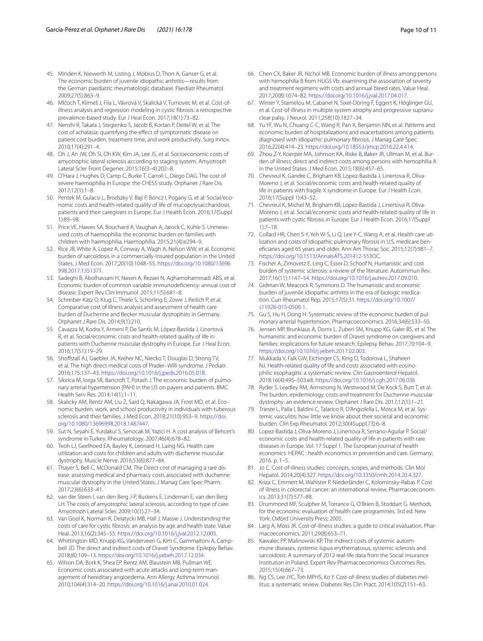- <span id="page-9-23"></span>45. Minden K, Niewerth M, Listing J, Mobius D, Thon A, Ganser G, et al. The economic burden of juvenile idiopathic arthritis—results from the German paediatric rheumatologic database. Paediatr Rheumatol. 2009;27(5):863–9.
- <span id="page-9-6"></span>46. Mlčoch T, Klimeš J, Fila L, Vávrová V, Skalická V, Turnovec M, et al. Cost-ofillness analysis and regression modeling in cystic fbrosis: a retrospective prevalence-based study. Eur J Heal Econ. 2017;18(1):73–82.
- <span id="page-9-12"></span>47. Nenshi R, Takata J, Stegienko S, Jacob B, Kortan P, Deitel W, et al. The cost of achalasia: quantifying the efect of symptomatic disease on patient cost burden, treatment time, and work productivity. Surg Innov. 2010;17(4):291–4.
- <span id="page-9-15"></span>48. Oh J, An JW, Oh SI, Oh KW, Kim JA, Lee JS, et al. Socioeconomic costs of amyotrophic lateral sclerosis according to staging system. Amyotroph Lateral Scler Front Degener. 2015;16(3–4):202–8.
- <span id="page-9-17"></span>49. O'Hara J, Hughes D, Camp C, Burke T, Carroll L, Diego DAG. The cost of severe haemophilia in Europe: the CHESS study. Orphanet J Rare Dis. 2017;12(1):1–8.
- <span id="page-9-29"></span>50. Pentek M, Gulacsi L, Brodszky V, Baji P, Boncz I, Pogany G, et al. Social/economic costs and health-related quality of life of mucopolysaccharidosis patients and their caregivers in Europe. Eur J Health Econ. 2016;17(Suppl 1):89–98.
- <span id="page-9-18"></span>51. Price VE, Hawes SA, Bouchard A, Vaughan A, Jarock C, Kuhle S. Unmeasured costs of haemophilia: the economic burden on families with children with haemophilia. Haemophilia. 2015;21(4):e294–9.
- <span id="page-9-4"></span>52. Rice JB, White A, Lopez A, Conway A, Wagh A, Nelson WW, et al. Economic burden of sarcoidosis in a commercially-insured population in the United States. J Med Econ. 2017;20(10):1048–55. [https://doi.org/10.1080/13696](https://doi.org/10.1080/13696998.2017.1351371) [998.2017.1351371.](https://doi.org/10.1080/13696998.2017.1351371)
- <span id="page-9-13"></span>53. Sadeghi B, Abolhassani H, Naseri A, Rezaei N, Aghamohammadi ABS, et al. Economic burden of common variable immunodefciency: annual cost of disease. Expert Rev Clin Immunol. 2015;11(5):681–8.
- <span id="page-9-19"></span>54. Schreiber-Katz O, Klug C, Thiele S, Schorling E, Zowe J, Reilich P, et al. Comparative cost of illness analysis and assessment of health care burden of Duchenne and Becker muscular dystrophies in Germany. Orphanet J Rare Dis. 2014;9(1):210.
- <span id="page-9-20"></span>55. Cavazza M, Kodra Y, Armeni P, De Santis M, López-Bastida J, Linertová R, et al. Social/economic costs and health-related quality of life in patients with Duchenne muscular dystrophy in Europe. Eur J Heal Econ. 2016;17(S1):19–29.
- <span id="page-9-10"></span>56. Shoffstall AJ, Gaebler JA, Kreher NC, Niecko T, Douglas D, Strong TV, et al. The high direct medical costs of Prader–Willi syndrome. J Pediatr. 2016;175:137–43. [https://doi.org/10.1016/j.jpeds.2016.05.018.](https://doi.org/10.1016/j.jpeds.2016.05.018)
- <span id="page-9-5"></span>57. Sikirica M, Iorga SR, Bancroft T, Potash J. The economic burden of pulmonary arterial hypertension (PAH) in the US on payers and patients. BMC Health Serv Res. 2014;14(1):1–11.
- <span id="page-9-24"></span>58. Skalicky AM, Rentz AM, Liu Z, Said Q, Nakagawa JA, Frost MD, et al. Economic burden, work, and school productivity in individuals with tuberous sclerosis and their families. J Med Econ. 2018;21(10):953–9. [https://doi.](https://doi.org/10.1080/13696998.2018.1487447) [org/10.1080/13696998.2018.1487447.](https://doi.org/10.1080/13696998.2018.1487447)
- <span id="page-9-25"></span>59. Sut N, Seyahi E, Yurdakul S, Senocak M, Yazici H. A cost analysis of Behcet's syndrome in Turkey. Rheumatology. 2007;46(4):678–82.
- <span id="page-9-21"></span>60. Teoh LJ, Geelhoed EA, Bayley K, Leonard H, Laing NG. Health care utilization and costs for children and adults with duchenne muscular dystrophy. Muscle Nerve. 2016;53(6):877–84.
- <span id="page-9-11"></span>61. Thayer S, Bell C, McDonald CM. The Direct cost of managing a rare dis‑ ease: assessing medical and pharmacy costs associated with duchenne muscular dystrophy in the United States. J Manag Care Spec Pharm. 2017;23(6):633–41.
- <span id="page-9-16"></span>62. van der Steen I, van den Berg J-P, Buskens E, Lindeman E, van den Berg LH. The costs of amyotrophic lateral sclerosis, according to type of care. Amyotroph Lateral Scler. 2009;10(1):27–34.
- <span id="page-9-14"></span>63. Van Gool K, Norman R, Delatycki MB, Hall J, Massie J. Understanding the costs of care for cystic fbrosis: an analysis by age and health state. Value Heal. 2013;16(2):345–55. [https://doi.org/10.1016/j.jval.2012.12.003.](https://doi.org/10.1016/j.jval.2012.12.003)
- <span id="page-9-26"></span>64. Whittington MD, Knupp KG, Vanderveen G, Kim C, Gammaitoni A, Campbell JD. The direct and indirect costs of Dravet Syndrome. Epilepsy Behav. 2018;80:109–13.<https://doi.org/10.1016/j.yebeh.2017.12.034>.
- <span id="page-9-28"></span>65. Wilson DA, Bork K, Shea EP, Rentz AM, Blaustein MB, Pullman WE. Economic costs associated with acute attacks and long-term management of hereditary angioedema. Ann Allergy Asthma Immunol. 2010;104(4):314–20. <https://doi.org/10.1016/j.anai.2010.01.024>.
- <span id="page-9-7"></span>66. Chen CX, Baker JR, Nichol MB. Economic burden of illness among persons with hemophilia B from HUGS Vb: examining the association of severity and treatment regimens with costs and annual bleed rates. Value Heal. 2017;20(8):1074–82. <https://doi.org/10.1016/j.jval.2017.04.017>.
- <span id="page-9-30"></span>67. Winter Y, Stamelou M, Cabanel N, Sixel-Döring F, Eggert K, Höglinger GU, et al. Cost-of-illness in multiple system atrophy and progressive supranuclear palsy. J Neurol. 2011;258(10):1827–34.
- <span id="page-9-8"></span>68. Yu YF, Wu N, Chuang C-C, Wang R, Pan X, Benjamin NN, et al. Patterns and economic burden of hospitalizations and exacerbations among patients diagnosed with idiopathic pulmonary fbrosis. J Manag Care Spec. 2016;22(4):414–23. <https://doi.org/10.18553/jmcp.2016.22.4.414>.
- <span id="page-9-9"></span>69. Zhou Z-Y, Koerper MA, Johnson KA, Riske B, Baker JR, Ullman M, et al. Bur‑ den of illness: direct and indirect costs among persons with hemophilia A in the United States. J Med Econ. 2015;18(6):457–65.
- <span id="page-9-27"></span>70. Chevreul K, Gandre C, Brigham KB, Lopez-Bastida J, Linertova R, Oliva-Moreno J, et al. Social/economic costs and health-related quality of life in patients with fragile X syndrome in Europe. Eur J Health Econ. 2016;17(Suppl 1):43–52.
- <span id="page-9-22"></span>71. Chevreul K, Michel M, Brigham KB, Lopez-Bastida J, Linertova R, Oliva-Moreno J, et al. Social/economic costs and health-related quality of life in patients with cystic fbrosis in Europe. Eur J Health Econ. 2016;17(Suppl 1):7–18.
- <span id="page-9-0"></span>72. Collard HR, Chen S-Y, Yeh W-S, Li Q, Lee Y-C, Wang A, et al. Health care utilization and costs of idiopathic pulmonary fibrosis in U.S. medicare benefciaries aged 65 years and older. Ann Am Thorac Soc. 2015;12(7):981–7. <https://doi.org/10.1513/AnnalsATS.201412-553OC>.
- <span id="page-9-1"></span>73. Fischer A, Zimovetz E, Ling C, Esser D, Schoof N. Humanistic and cost burden of systemic sclerosis: a review of the literature. Autoimmun Rev. 2017;16(11):1147–54.<https://doi.org/10.1016/j.autrev.2017.09.010>.
- <span id="page-9-33"></span>74. Gidman W, Meacock R, Symmons D. The humanistic and economic burden of juvenile idiopathic arthritis in the era of biologic medication. Curr Rheumatol Rep. 2015;17(5):31. [https://doi.org/10.1007/](https://doi.org/10.1007/s11926-015-0508-1) [s11926-015-0508-1.](https://doi.org/10.1007/s11926-015-0508-1)
- <span id="page-9-34"></span>75. Gu S, Hu H, Dong H. Systematic review of the economic burden of pulmonary arterial hypertension. Pharmacoeconomics. 2016;34(6):533–50.
- <span id="page-9-31"></span>76. Jensen MP, Brunklaus A, Dorris L, Zuberi SM, Knupp KG, Galer BS, et al. The humanistic and economic burden of Dravet syndrome on caregivers and families: implications for future research. Epilepsy Behav. 2017;70:104–9. [https://doi.org/10.1016/j.yebeh.2017.02.003.](https://doi.org/10.1016/j.yebeh.2017.02.003)
- 77. Mukkada V, Falk GW, Eichinger CS, King D, Todorova L, Shaheen NJ. Health-related quality of life and costs associated with eosinophilic esophagitis: a systematic review. Clin Gastroenterol Hepatol. 2018;16(4):495–503.e8.<https://doi.org/10.1016/j.cgh.2017.06.036>
- <span id="page-9-32"></span>78. Ryder S, Leadley RM, Armstrong N, Westwood M, De Kock S, Butt T, et al. The burden, epidemiology, costs and treatment for Duchenne muscular dystrophy: an evidence review. Orphanet J Rare Dis. 2017;12(1):1–21.
- <span id="page-9-2"></span>79. Trieste L, Palla I, Baldini C, Talarico R, D'Angiolella L, Mosca M, et al. Systemic vasculitis: how little we know about their societal and economic burden. Clin Exp Rheumatol. 2012;30(4Suppl.73):6–8.
- <span id="page-9-3"></span>80. Lopez-Bastida J, Oliva-Moreno J, Linertova R, Serrano-Aguilar P. Social/ economic costs and health-related quality of life in patients with rare diseases in Europe. Vol. 17 Suppl 1, The European journal of health economics: HEPAC : health economics in prevention and care. Germany; 2016. p. 1–5.
- <span id="page-9-35"></span>81. Jo C. Cost-of-illness studies: concepts, scopes, and methods. Clin Mol Hepatol. 2014;20(4):327. [https://doi.org/10.3350/cmh.2014.20.4.327.](https://doi.org/10.3350/cmh.2014.20.4.327)
- <span id="page-9-36"></span>82. Kriza C, Emmert M, Wahlster P, Niederländer C, Kolominsky-Rabas P. Cost of illness in colorectal cancer: an international review. Pharmacoeconomics. 2013;31(7):577–88.
- <span id="page-9-37"></span>83. Drummond MF, Sculpher M, Torrance G, O'Brien B, Stoddart G. Methods for the economic evaluation of health care programmes. 3rd ed. New York: Oxford University Press; 2005.
- <span id="page-9-38"></span>84. Larg A, Moss JR. Cost-of-illness studies: a guide to critical evaluation. Pharmacoeconomics. 2011;29(8):653–71.
- <span id="page-9-39"></span>85. Kawalec PP, Malinowski KP. The indirect costs of systemic autoimmune diseases, systemic lupus erythematosus, systemic sclerosis and sarcoidosis: A summary of 2012 real-life data from the Social Insurance Institution in Poland. Expert Rev Pharmacoeconomics Outcomes Res. 2015;15(4):667–73.
- <span id="page-9-40"></span>86. Ng CS, Lee JYC, Toh MPHS, Ko Y. Cost-of-illness studies of diabetes mellitus: a systematic review. Diabetes Res Clin Pract. 2014;105(2):151–63.